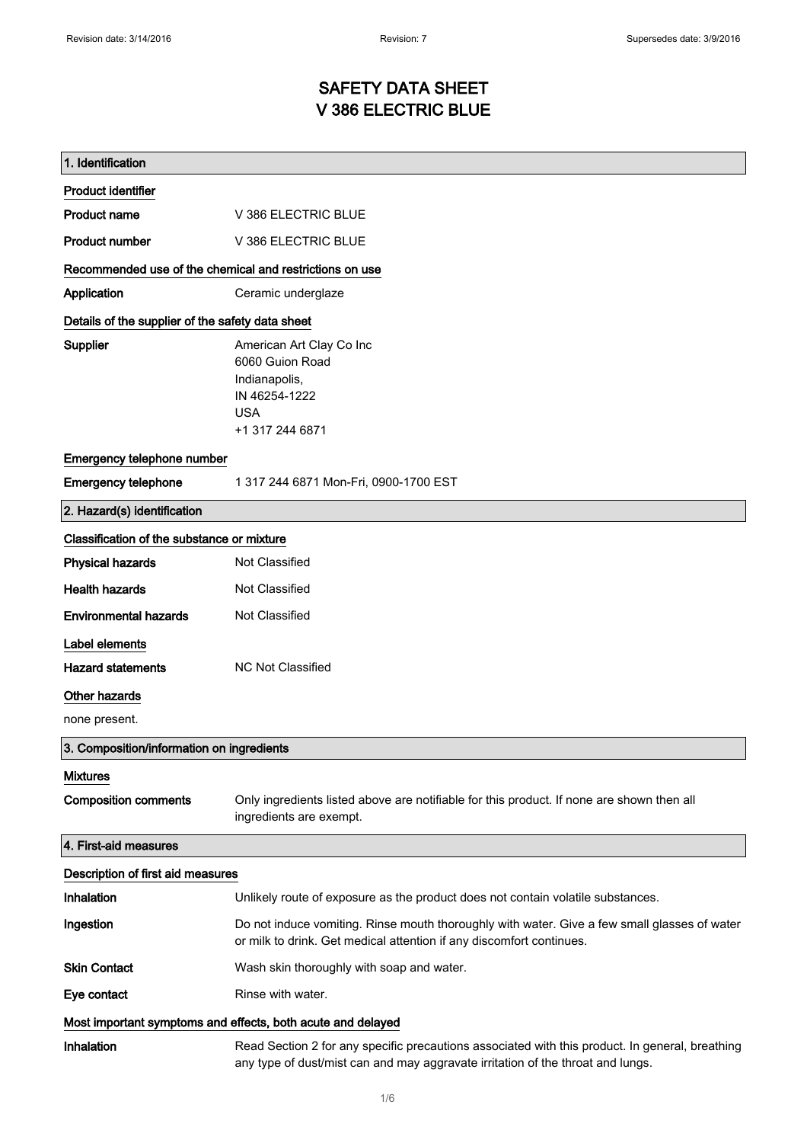# SAFETY DATA SHEET V 386 ELECTRIC BLUE

| 1. Identification                                           |                                                                                                                                                                                    |
|-------------------------------------------------------------|------------------------------------------------------------------------------------------------------------------------------------------------------------------------------------|
| <b>Product identifier</b>                                   |                                                                                                                                                                                    |
| <b>Product name</b>                                         | V 386 ELECTRIC BLUE                                                                                                                                                                |
| <b>Product number</b>                                       | V 386 ELECTRIC BLUE                                                                                                                                                                |
| Recommended use of the chemical and restrictions on use     |                                                                                                                                                                                    |
| Application                                                 | Ceramic underglaze                                                                                                                                                                 |
| Details of the supplier of the safety data sheet            |                                                                                                                                                                                    |
| <b>Supplier</b>                                             | American Art Clay Co Inc<br>6060 Guion Road<br>Indianapolis,<br>IN 46254-1222<br><b>USA</b><br>+1 317 244 6871                                                                     |
| Emergency telephone number                                  |                                                                                                                                                                                    |
| <b>Emergency telephone</b>                                  | 1 317 244 6871 Mon-Fri, 0900-1700 EST                                                                                                                                              |
| 2. Hazard(s) identification                                 |                                                                                                                                                                                    |
| Classification of the substance or mixture                  |                                                                                                                                                                                    |
| <b>Physical hazards</b>                                     | Not Classified                                                                                                                                                                     |
| <b>Health hazards</b>                                       | Not Classified                                                                                                                                                                     |
| <b>Environmental hazards</b>                                | Not Classified                                                                                                                                                                     |
| Label elements                                              |                                                                                                                                                                                    |
| <b>Hazard statements</b>                                    | <b>NC Not Classified</b>                                                                                                                                                           |
| <b>Other hazards</b>                                        |                                                                                                                                                                                    |
| none present.                                               |                                                                                                                                                                                    |
| 3. Composition/information on ingredients                   |                                                                                                                                                                                    |
| <b>Mixtures</b>                                             |                                                                                                                                                                                    |
| <b>Composition comments</b>                                 | Only ingredients listed above are notifiable for this product. If none are shown then all<br>ingredients are exempt.                                                               |
| 4. First-aid measures                                       |                                                                                                                                                                                    |
| Description of first aid measures                           |                                                                                                                                                                                    |
| Inhalation                                                  | Unlikely route of exposure as the product does not contain volatile substances.                                                                                                    |
| Ingestion                                                   | Do not induce vomiting. Rinse mouth thoroughly with water. Give a few small glasses of water<br>or milk to drink. Get medical attention if any discomfort continues.               |
| <b>Skin Contact</b>                                         | Wash skin thoroughly with soap and water.                                                                                                                                          |
| Eye contact                                                 | Rinse with water.                                                                                                                                                                  |
| Most important symptoms and effects, both acute and delayed |                                                                                                                                                                                    |
| Inhalation                                                  | Read Section 2 for any specific precautions associated with this product. In general, breathing<br>any type of dust/mist can and may aggravate irritation of the throat and lungs. |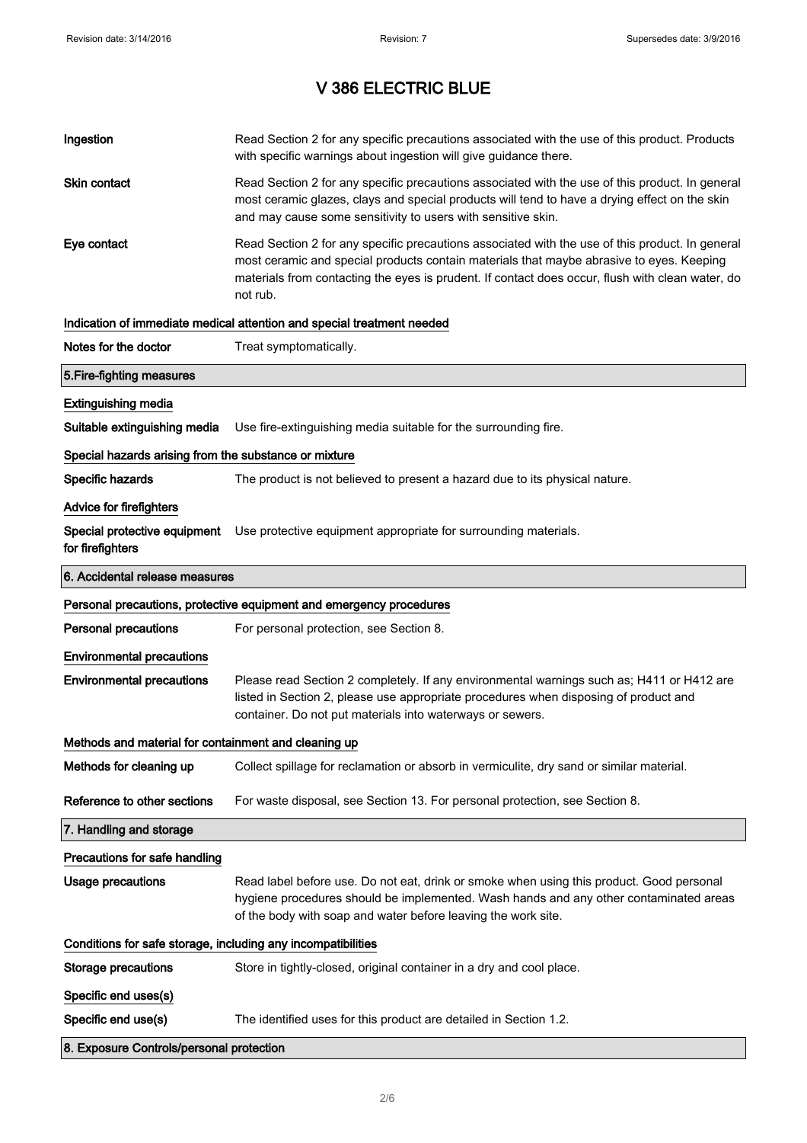| Ingestion                                                    | Read Section 2 for any specific precautions associated with the use of this product. Products<br>with specific warnings about ingestion will give guidance there.                                                                                                                                           |
|--------------------------------------------------------------|-------------------------------------------------------------------------------------------------------------------------------------------------------------------------------------------------------------------------------------------------------------------------------------------------------------|
| Skin contact                                                 | Read Section 2 for any specific precautions associated with the use of this product. In general<br>most ceramic glazes, clays and special products will tend to have a drying effect on the skin<br>and may cause some sensitivity to users with sensitive skin.                                            |
| Eye contact                                                  | Read Section 2 for any specific precautions associated with the use of this product. In general<br>most ceramic and special products contain materials that maybe abrasive to eyes. Keeping<br>materials from contacting the eyes is prudent. If contact does occur, flush with clean water, do<br>not rub. |
|                                                              | Indication of immediate medical attention and special treatment needed                                                                                                                                                                                                                                      |
| Notes for the doctor                                         | Treat symptomatically.                                                                                                                                                                                                                                                                                      |
| 5. Fire-fighting measures                                    |                                                                                                                                                                                                                                                                                                             |
| <b>Extinguishing media</b>                                   |                                                                                                                                                                                                                                                                                                             |
| Suitable extinguishing media                                 | Use fire-extinguishing media suitable for the surrounding fire.                                                                                                                                                                                                                                             |
| Special hazards arising from the substance or mixture        |                                                                                                                                                                                                                                                                                                             |
| Specific hazards                                             | The product is not believed to present a hazard due to its physical nature.                                                                                                                                                                                                                                 |
| <b>Advice for firefighters</b>                               |                                                                                                                                                                                                                                                                                                             |
| for firefighters                                             | Special protective equipment Use protective equipment appropriate for surrounding materials.                                                                                                                                                                                                                |
| 6. Accidental release measures                               |                                                                                                                                                                                                                                                                                                             |
|                                                              |                                                                                                                                                                                                                                                                                                             |
|                                                              | Personal precautions, protective equipment and emergency procedures                                                                                                                                                                                                                                         |
| <b>Personal precautions</b>                                  | For personal protection, see Section 8.                                                                                                                                                                                                                                                                     |
| <b>Environmental precautions</b>                             |                                                                                                                                                                                                                                                                                                             |
| <b>Environmental precautions</b>                             | Please read Section 2 completely. If any environmental warnings such as; H411 or H412 are<br>listed in Section 2, please use appropriate procedures when disposing of product and<br>container. Do not put materials into waterways or sewers.                                                              |
| Methods and material for containment and cleaning up         |                                                                                                                                                                                                                                                                                                             |
| Methods for cleaning up                                      | Collect spillage for reclamation or absorb in vermiculite, dry sand or similar material.                                                                                                                                                                                                                    |
| Reference to other sections                                  | For waste disposal, see Section 13. For personal protection, see Section 8.                                                                                                                                                                                                                                 |
| 7. Handling and storage                                      |                                                                                                                                                                                                                                                                                                             |
| Precautions for safe handling                                |                                                                                                                                                                                                                                                                                                             |
| <b>Usage precautions</b>                                     | Read label before use. Do not eat, drink or smoke when using this product. Good personal<br>hygiene procedures should be implemented. Wash hands and any other contaminated areas<br>of the body with soap and water before leaving the work site.                                                          |
| Conditions for safe storage, including any incompatibilities |                                                                                                                                                                                                                                                                                                             |
| <b>Storage precautions</b>                                   | Store in tightly-closed, original container in a dry and cool place.                                                                                                                                                                                                                                        |
| Specific end uses(s)                                         |                                                                                                                                                                                                                                                                                                             |
| Specific end use(s)                                          | The identified uses for this product are detailed in Section 1.2.                                                                                                                                                                                                                                           |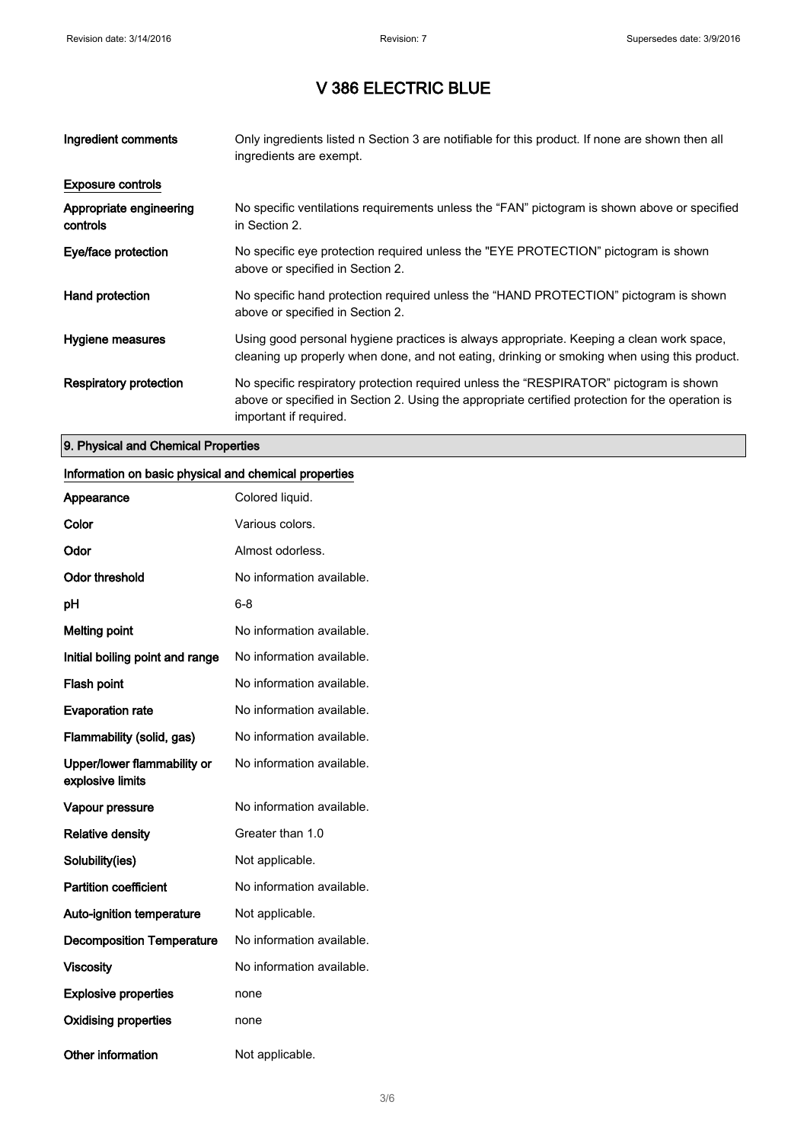| Ingredient comments                 | Only ingredients listed n Section 3 are notifiable for this product. If none are shown then all<br>ingredients are exempt.                                                                                           |
|-------------------------------------|----------------------------------------------------------------------------------------------------------------------------------------------------------------------------------------------------------------------|
| <b>Exposure controls</b>            |                                                                                                                                                                                                                      |
| Appropriate engineering<br>controls | No specific ventilations requirements unless the "FAN" pictogram is shown above or specified<br>in Section 2.                                                                                                        |
| Eye/face protection                 | No specific eye protection required unless the "EYE PROTECTION" pictogram is shown<br>above or specified in Section 2.                                                                                               |
| Hand protection                     | No specific hand protection required unless the "HAND PROTECTION" pictogram is shown<br>above or specified in Section 2.                                                                                             |
| Hygiene measures                    | Using good personal hygiene practices is always appropriate. Keeping a clean work space,<br>cleaning up properly when done, and not eating, drinking or smoking when using this product.                             |
| Respiratory protection              | No specific respiratory protection required unless the "RESPIRATOR" pictogram is shown<br>above or specified in Section 2. Using the appropriate certified protection for the operation is<br>important if required. |

### 9. Physical and Chemical Properties

#### Information on basic physical and chemical properties

| Appearance                                      | Colored liquid.           |
|-------------------------------------------------|---------------------------|
| Color                                           | Various colors.           |
| Odor                                            | Almost odorless.          |
| <b>Odor threshold</b>                           | No information available. |
| рH                                              | 6-8                       |
| <b>Melting point</b>                            | No information available. |
| Initial boiling point and range                 | No information available. |
| Flash point                                     | No information available. |
| <b>Evaporation rate</b>                         | No information available. |
| Flammability (solid, gas)                       | No information available. |
| Upper/lower flammability or<br>explosive limits | No information available. |
| Vapour pressure                                 | No information available. |
| <b>Relative density</b>                         | Greater than 1.0          |
| Solubility(ies)                                 | Not applicable.           |
| <b>Partition coefficient</b>                    | No information available. |
| <b>Auto-ignition temperature</b>                | Not applicable.           |
| <b>Decomposition Temperature</b>                | No information available. |
| <b>Viscosity</b>                                | No information available. |
| <b>Explosive properties</b>                     | none                      |
| <b>Oxidising properties</b>                     | none                      |
| <b>Other information</b>                        | Not applicable.           |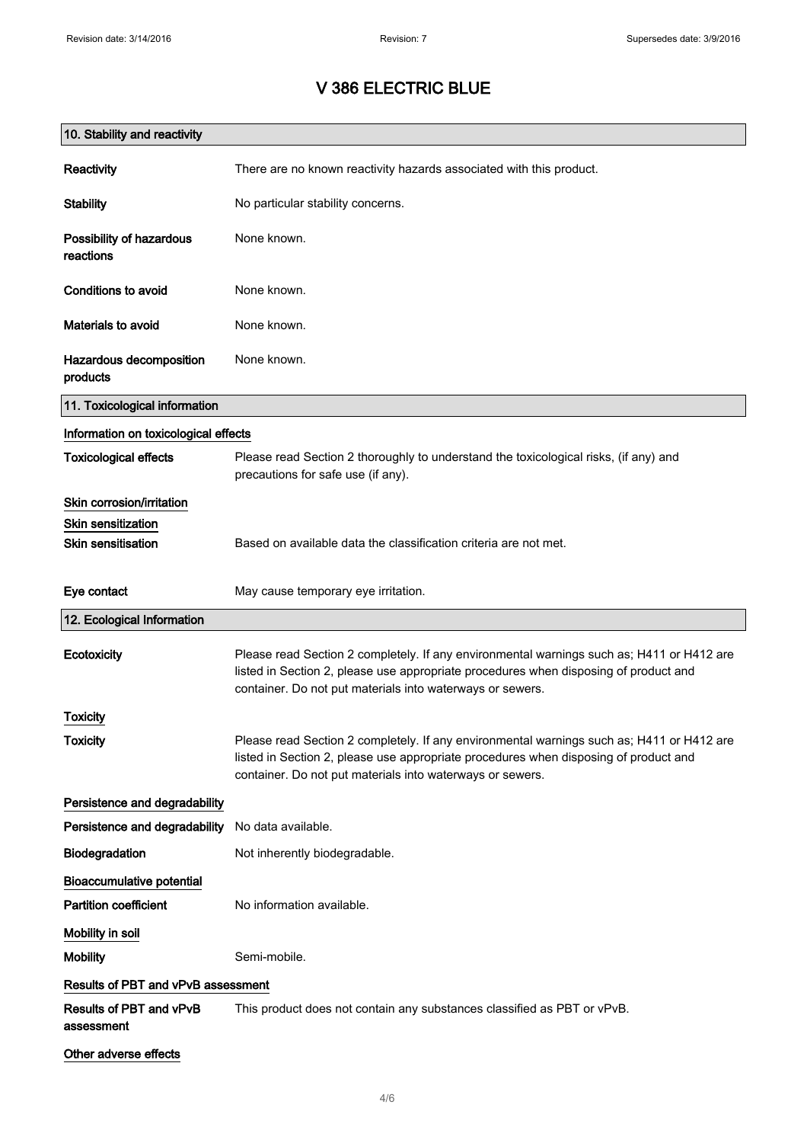| 10. Stability and reactivity          |                                                                                                                                                                                                                                                |
|---------------------------------------|------------------------------------------------------------------------------------------------------------------------------------------------------------------------------------------------------------------------------------------------|
| Reactivity                            | There are no known reactivity hazards associated with this product.                                                                                                                                                                            |
| <b>Stability</b>                      | No particular stability concerns.                                                                                                                                                                                                              |
| Possibility of hazardous<br>reactions | None known.                                                                                                                                                                                                                                    |
| Conditions to avoid                   | None known.                                                                                                                                                                                                                                    |
| Materials to avoid                    | None known.                                                                                                                                                                                                                                    |
| Hazardous decomposition<br>products   | None known.                                                                                                                                                                                                                                    |
| 11. Toxicological information         |                                                                                                                                                                                                                                                |
| Information on toxicological effects  |                                                                                                                                                                                                                                                |
| <b>Toxicological effects</b>          | Please read Section 2 thoroughly to understand the toxicological risks, (if any) and<br>precautions for safe use (if any).                                                                                                                     |
| Skin corrosion/irritation             |                                                                                                                                                                                                                                                |
| <b>Skin sensitization</b>             |                                                                                                                                                                                                                                                |
| <b>Skin sensitisation</b>             | Based on available data the classification criteria are not met.                                                                                                                                                                               |
| Eye contact                           | May cause temporary eye irritation.                                                                                                                                                                                                            |
| 12. Ecological Information            |                                                                                                                                                                                                                                                |
| Ecotoxicity                           | Please read Section 2 completely. If any environmental warnings such as; H411 or H412 are<br>listed in Section 2, please use appropriate procedures when disposing of product and<br>container. Do not put materials into waterways or sewers. |
| Toxicity                              |                                                                                                                                                                                                                                                |
| <b>Toxicity</b>                       | Please read Section 2 completely. If any environmental warnings such as; H411 or H412 are<br>listed in Section 2, please use appropriate procedures when disposing of product and<br>container. Do not put materials into waterways or sewers. |
| Persistence and degradability         |                                                                                                                                                                                                                                                |
| Persistence and degradability         | No data available.                                                                                                                                                                                                                             |
| Biodegradation                        | Not inherently biodegradable.                                                                                                                                                                                                                  |
| <b>Bioaccumulative potential</b>      |                                                                                                                                                                                                                                                |
| <b>Partition coefficient</b>          | No information available.                                                                                                                                                                                                                      |
| Mobility in soil                      |                                                                                                                                                                                                                                                |
| <b>Mobility</b>                       | Semi-mobile.                                                                                                                                                                                                                                   |
| Results of PBT and vPvB assessment    |                                                                                                                                                                                                                                                |
| Results of PBT and vPvB<br>assessment | This product does not contain any substances classified as PBT or vPvB.                                                                                                                                                                        |
| Other adverse effects                 |                                                                                                                                                                                                                                                |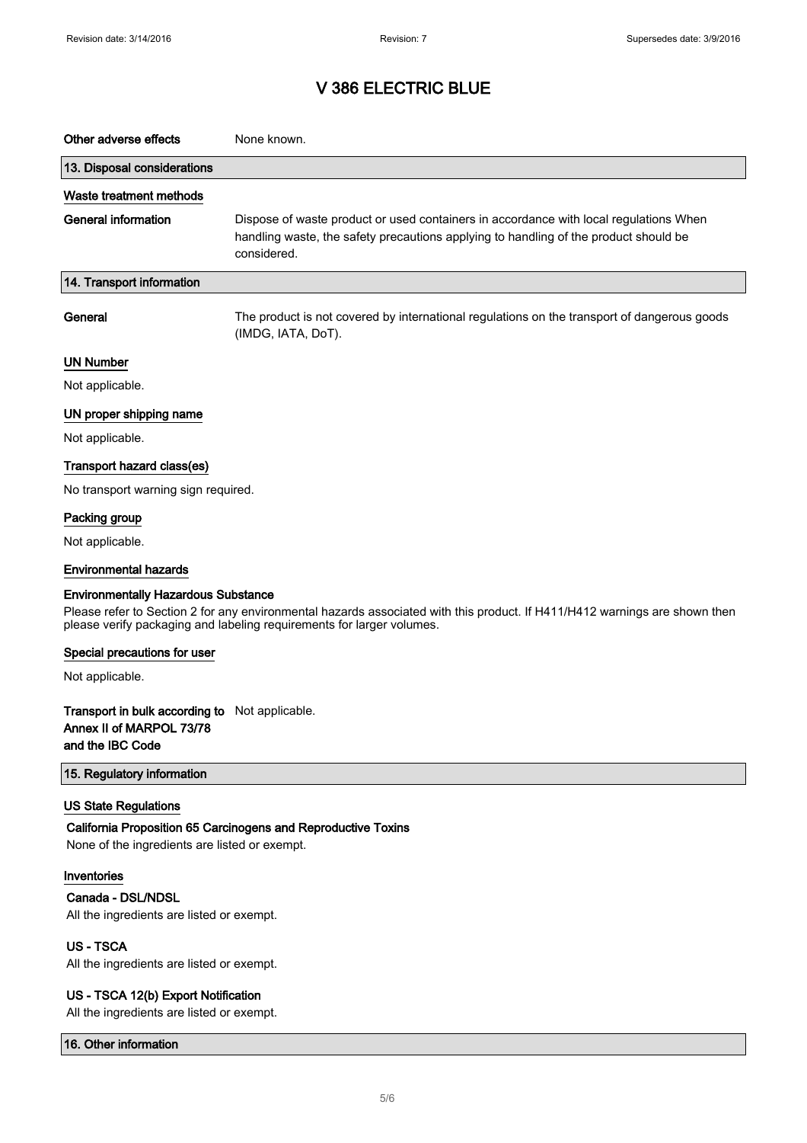| Other adverse effects                                                                                                                                                                                                                             | None known.                                                                                                                                                                                  |  |
|---------------------------------------------------------------------------------------------------------------------------------------------------------------------------------------------------------------------------------------------------|----------------------------------------------------------------------------------------------------------------------------------------------------------------------------------------------|--|
| 13. Disposal considerations                                                                                                                                                                                                                       |                                                                                                                                                                                              |  |
| Waste treatment methods                                                                                                                                                                                                                           |                                                                                                                                                                                              |  |
| <b>General information</b>                                                                                                                                                                                                                        | Dispose of waste product or used containers in accordance with local regulations When<br>handling waste, the safety precautions applying to handling of the product should be<br>considered. |  |
| 14. Transport information                                                                                                                                                                                                                         |                                                                                                                                                                                              |  |
| General                                                                                                                                                                                                                                           | The product is not covered by international regulations on the transport of dangerous goods<br>(IMDG, IATA, DoT).                                                                            |  |
| <b>UN Number</b>                                                                                                                                                                                                                                  |                                                                                                                                                                                              |  |
| Not applicable.                                                                                                                                                                                                                                   |                                                                                                                                                                                              |  |
| UN proper shipping name                                                                                                                                                                                                                           |                                                                                                                                                                                              |  |
| Not applicable.                                                                                                                                                                                                                                   |                                                                                                                                                                                              |  |
| Transport hazard class(es)                                                                                                                                                                                                                        |                                                                                                                                                                                              |  |
| No transport warning sign required.                                                                                                                                                                                                               |                                                                                                                                                                                              |  |
| Packing group                                                                                                                                                                                                                                     |                                                                                                                                                                                              |  |
| Not applicable.                                                                                                                                                                                                                                   |                                                                                                                                                                                              |  |
| <b>Environmental hazards</b>                                                                                                                                                                                                                      |                                                                                                                                                                                              |  |
| <b>Environmentally Hazardous Substance</b><br>Please refer to Section 2 for any environmental hazards associated with this product. If H411/H412 warnings are shown then<br>please verify packaging and labeling requirements for larger volumes. |                                                                                                                                                                                              |  |
| Special precautions for user                                                                                                                                                                                                                      |                                                                                                                                                                                              |  |
| Not applicable.                                                                                                                                                                                                                                   |                                                                                                                                                                                              |  |
| <b>Transport in bulk according to</b> Not applicable.<br>Annex II of MARPOL 73/78<br>and the IBC Code                                                                                                                                             |                                                                                                                                                                                              |  |
| 15. Regulatory information                                                                                                                                                                                                                        |                                                                                                                                                                                              |  |
| <b>US State Regulations</b><br>None of the ingredients are listed or exempt.                                                                                                                                                                      | California Proposition 65 Carcinogens and Reproductive Toxins                                                                                                                                |  |
| Inventories                                                                                                                                                                                                                                       |                                                                                                                                                                                              |  |
| Canada - DSL/NDSL                                                                                                                                                                                                                                 |                                                                                                                                                                                              |  |
| All the ingredients are listed or exempt.                                                                                                                                                                                                         |                                                                                                                                                                                              |  |
| <b>US-TSCA</b><br>All the ingredients are listed or exempt.                                                                                                                                                                                       |                                                                                                                                                                                              |  |
| US - TSCA 12(b) Export Notification                                                                                                                                                                                                               |                                                                                                                                                                                              |  |

All the ingredients are listed or exempt.

16. Other information